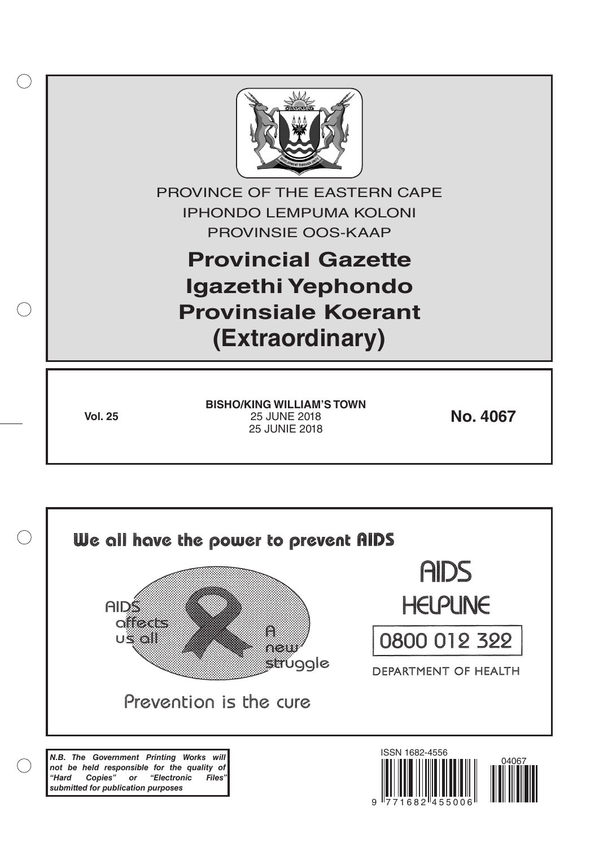

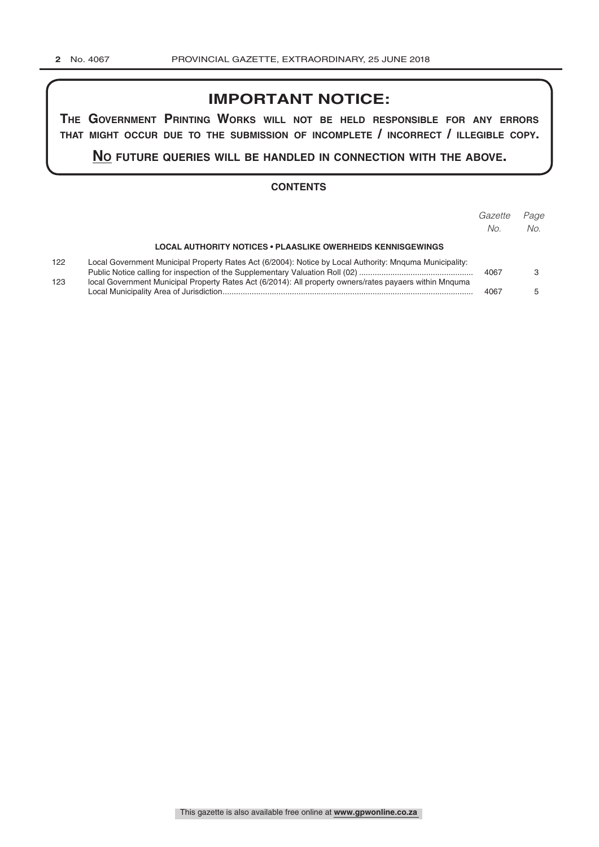## **IMPORTANT NOTICE:**

**The GovernmenT PrinTinG Works Will noT be held resPonsible for any errors ThaT miGhT occur due To The submission of incomPleTe / incorrecT / illeGible coPy.**

**no fuTure queries Will be handled in connecTion WiTh The above.**

### **CONTENTS**

|     |                                                                                                         | Gazette<br>No. | Paae<br>No. |
|-----|---------------------------------------------------------------------------------------------------------|----------------|-------------|
|     | <b>LOCAL AUTHORITY NOTICES • PLAASLIKE OWERHEIDS KENNISGEWINGS</b>                                      |                |             |
| 122 | Local Government Municipal Property Rates Act (6/2004): Notice by Local Authority: Mnguma Municipality: | 4067           |             |
| 123 | local Government Municipal Property Rates Act (6/2014): All property owners/rates payaers within Mnguma | 4067           |             |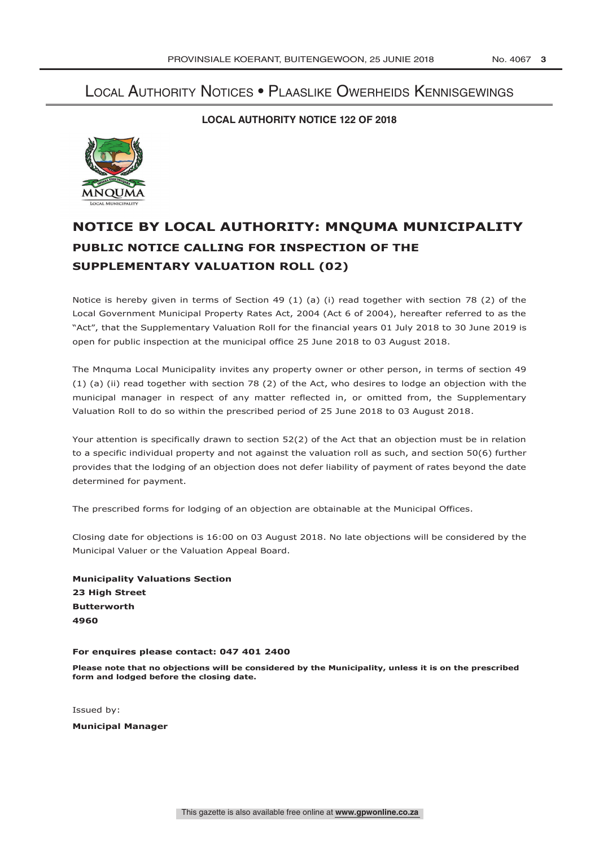## Local Authority Notices • Plaaslike Owerheids Kennisgewings

### **LOCAL AUTHORITY NOTICE 122 OF 2018**



# **NOTICE BY LOCAL AUTHORITY: MNQUMA MUNICIPALITY PUBLIC NOTICE CALLING FOR INSPECTION OF THE SUPPLEMENTARY VALUATION ROLL (02)**

Notice is hereby given in terms of Section 49 (1) (a) (i) read together with section 78 (2) of the Local Government Municipal Property Rates Act, 2004 (Act 6 of 2004), hereafter referred to as the "Act", that the Supplementary Valuation Roll for the financial years 01 July 2018 to 30 June 2019 is open for public inspection at the municipal office 25 June 2018 to 03 August 2018.

The Mnquma Local Municipality invites any property owner or other person, in terms of section 49 (1) (a) (ii) read together with section 78 (2) of the Act, who desires to lodge an objection with the municipal manager in respect of any matter reflected in, or omitted from, the Supplementary Valuation Roll to do so within the prescribed period of 25 June 2018 to 03 August 2018.

Your attention is specifically drawn to section 52(2) of the Act that an objection must be in relation to a specific individual property and not against the valuation roll as such, and section 50(6) further provides that the lodging of an objection does not defer liability of payment of rates beyond the date determined for payment.

The prescribed forms for lodging of an objection are obtainable at the Municipal Offices.

Closing date for objections is 16:00 on 03 August 2018. No late objections will be considered by the Municipal Valuer or the Valuation Appeal Board.

**Municipality Valuations Section 23 High Street Butterworth 4960**

### **For enquires please contact: 047 401 2400**

**Please note that no objections will be considered by the Municipality, unless it is on the prescribed form and lodged before the closing date.**

Issued by:

**Municipal Manager**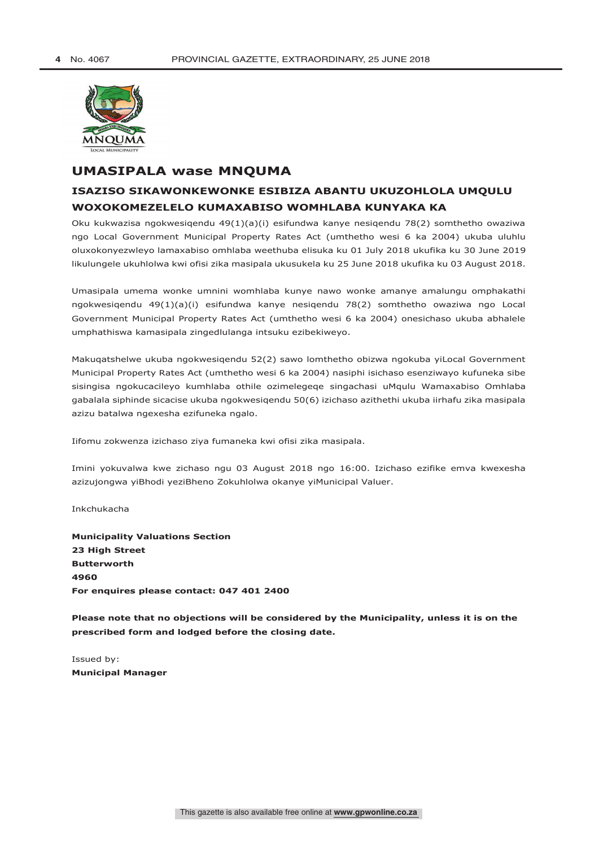

### **UMASIPALA wase MNQUMA**

### **ISAZISO SIKAWONKEWONKE ESIBIZA ABANTU UKUZOHLOLA UMQULU WOXOKOMEZELELO KUMAXABISO WOMHLABA KUNYAKA KA**

Oku kukwazisa ngokwesiqendu 49(1)(a)(i) esifundwa kanye nesiqendu 78(2) somthetho owaziwa ngo Local Government Municipal Property Rates Act (umthetho wesi 6 ka 2004) ukuba uluhlu oluxokonyezwleyo lamaxabiso omhlaba weethuba elisuka ku 01 July 2018 ukufika ku 30 June 2019 likulungele ukuhlolwa kwi ofisi zika masipala ukusukela ku 25 June 2018 ukufika ku 03 August 2018.

Umasipala umema wonke umnini womhlaba kunye nawo wonke amanye amalungu omphakathi ngokwesiqendu 49(1)(a)(i) esifundwa kanye nesiqendu 78(2) somthetho owaziwa ngo Local Government Municipal Property Rates Act (umthetho wesi 6 ka 2004) onesichaso ukuba abhalele umphathiswa kamasipala zingedlulanga intsuku ezibekiweyo.

Makuqatshelwe ukuba ngokwesiqendu 52(2) sawo lomthetho obizwa ngokuba yiLocal Government Municipal Property Rates Act (umthetho wesi 6 ka 2004) nasiphi isichaso esenziwayo kufuneka sibe sisingisa ngokucacileyo kumhlaba othile ozimelegeqe singachasi uMqulu Wamaxabiso Omhlaba gabalala siphinde sicacise ukuba ngokwesiqendu 50(6) izichaso azithethi ukuba iirhafu zika masipala azizu batalwa ngexesha ezifuneka ngalo.

Iifomu zokwenza izichaso ziya fumaneka kwi ofisi zika masipala.

Imini yokuvalwa kwe zichaso ngu 03 August 2018 ngo 16:00. Izichaso ezifike emva kwexesha azizujongwa yiBhodi yeziBheno Zokuhlolwa okanye yiMunicipal Valuer.

Inkchukacha

**Municipality Valuations Section 23 High Street Butterworth 4960 For enquires please contact: 047 401 2400**

**Please note that no objections will be considered by the Municipality, unless it is on the prescribed form and lodged before the closing date.**

Issued by: **Municipal Manager**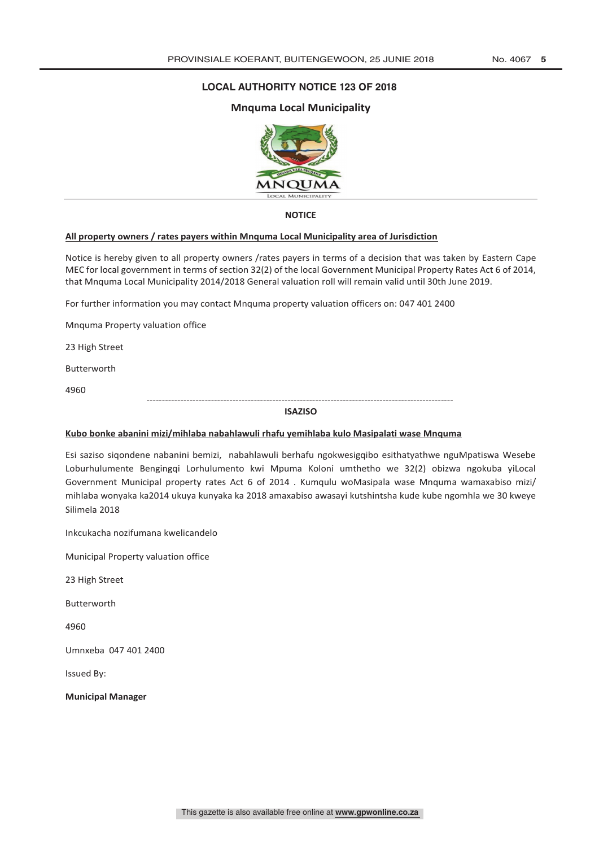### **LOCAL AUTHORITY NOTICE 123 OF 2018**

### **Mnquma Local Municipality**



### **NOTICE**

### **All property owners / rates payers within Mnquma Local Municipality area of Jurisdiction**

Notice is hereby given to all property owners /rates payers in terms of a decision that was taken by Eastern Cape MEC for local government in terms of section 32(2) of the local Government Municipal Property Rates Act 6 of 2014, that Mnquma Local Municipality 2014/2018 General valuation roll will remain valid until 30th June 2019.

For further information you may contact Mnquma property valuation officers on: 047 401 2400

Mnquma Property valuation office

23 High Street

Butterworth

4960

----------------------------------------------------------------------------------------------------

### **ISAZISO**

#### **Kubo bonke abanini mizi/mihlaba nabahlawuli rhafu yemihlaba kulo Masipalati wase Mnquma**

Esi saziso siqondene nabanini bemizi, nabahlawuli berhafu ngokwesigqibo esithatyathwe nguMpatiswa Wesebe Loburhulumente Bengingqi Lorhulumento kwi Mpuma Koloni umthetho we 32(2) obizwa ngokuba yiLocal Government Municipal property rates Act 6 of 2014 . Kumqulu woMasipala wase Mnquma wamaxabiso mizi/ mihlaba wonyaka ka2014 ukuya kunyaka ka 2018 amaxabiso awasayi kutshintsha kude kube ngomhla we 30 kweye Silimela 2018

Inkcukacha nozifumana kwelicandelo

Municipal Property valuation office

23 High Street

Butterworth

4960

Umnxeba 047 401 2400

Issued By:

**Municipal Manager**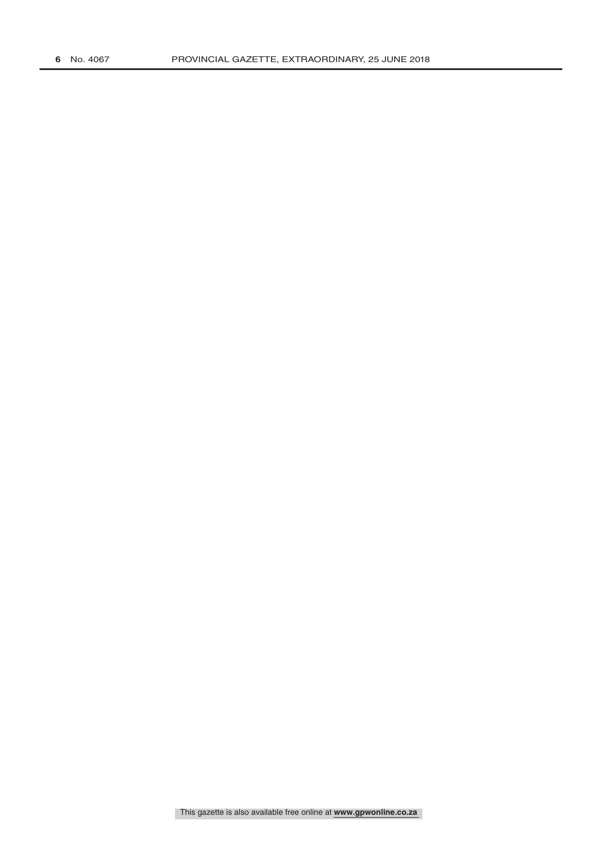This gazette is also available free online at **www.gpwonline.co.za**